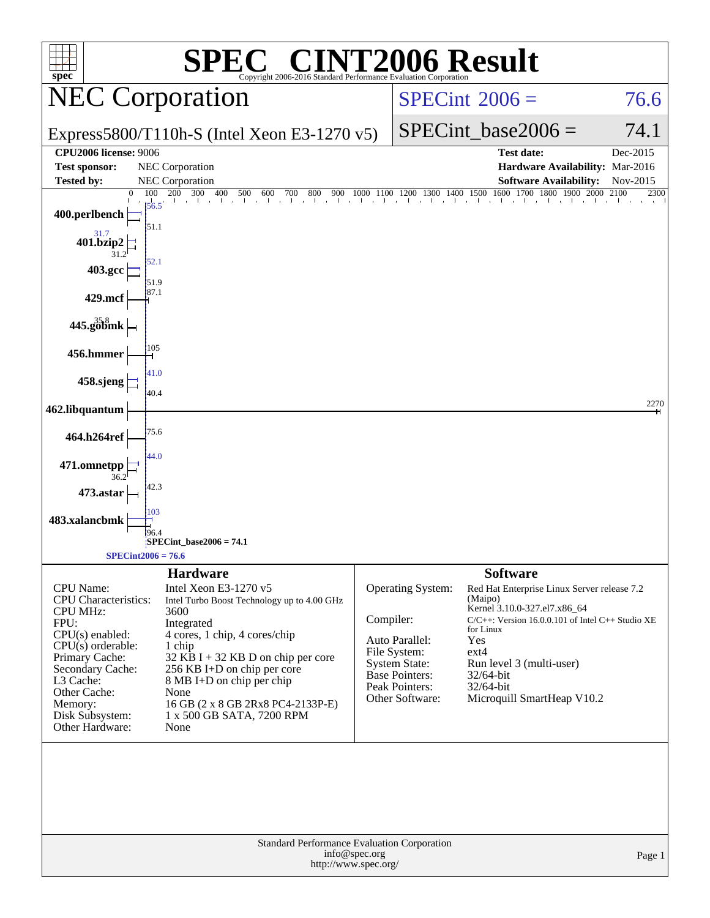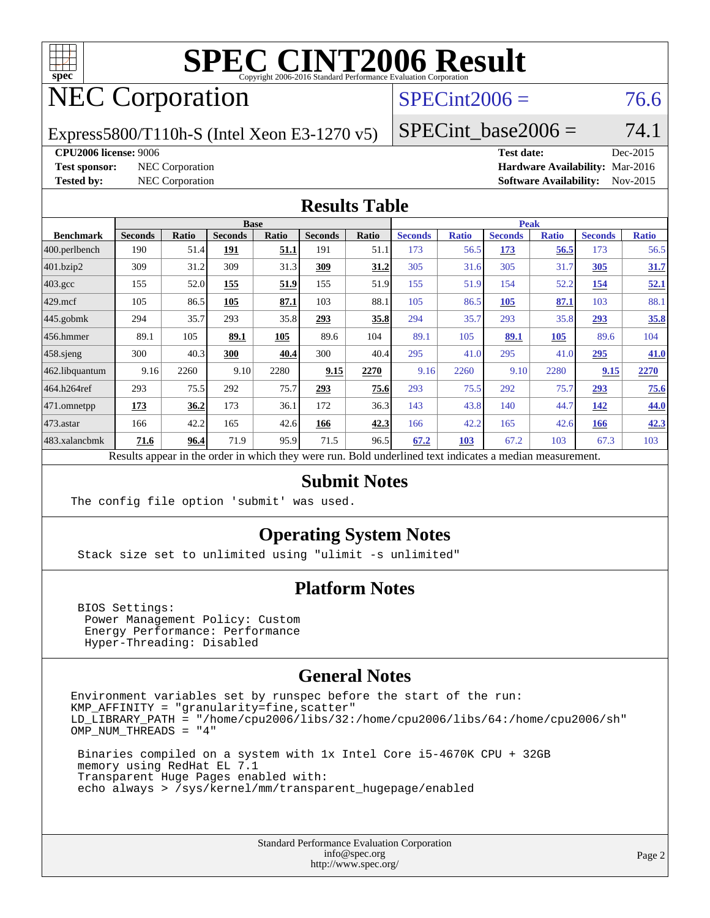

# **[SPEC CINT2006 Result](http://www.spec.org/auto/cpu2006/Docs/result-fields.html#SPECCINT2006Result)**

## NEC Corporation

## $SPECint2006 = 76.6$  $SPECint2006 = 76.6$

Express5800/T110h-S (Intel Xeon E3-1270 v5)

SPECint base2006 =  $74.1$ 

#### **[CPU2006 license:](http://www.spec.org/auto/cpu2006/Docs/result-fields.html#CPU2006license)** 9006 **[Test date:](http://www.spec.org/auto/cpu2006/Docs/result-fields.html#Testdate)** Dec-2015

**[Test sponsor:](http://www.spec.org/auto/cpu2006/Docs/result-fields.html#Testsponsor)** NEC Corporation **[Hardware Availability:](http://www.spec.org/auto/cpu2006/Docs/result-fields.html#HardwareAvailability)** Mar-2016 **[Tested by:](http://www.spec.org/auto/cpu2006/Docs/result-fields.html#Testedby)** NEC Corporation **[Software Availability:](http://www.spec.org/auto/cpu2006/Docs/result-fields.html#SoftwareAvailability)** Nov-2015

### **[Results Table](http://www.spec.org/auto/cpu2006/Docs/result-fields.html#ResultsTable)**

|                    | <b>Base</b>                                                                                              |              |                |       |                |       | <b>Peak</b>    |              |                |              |                |              |  |
|--------------------|----------------------------------------------------------------------------------------------------------|--------------|----------------|-------|----------------|-------|----------------|--------------|----------------|--------------|----------------|--------------|--|
| <b>Benchmark</b>   | <b>Seconds</b>                                                                                           | <b>Ratio</b> | <b>Seconds</b> | Ratio | <b>Seconds</b> | Ratio | <b>Seconds</b> | <b>Ratio</b> | <b>Seconds</b> | <b>Ratio</b> | <b>Seconds</b> | <b>Ratio</b> |  |
| 400.perlbench      | 190                                                                                                      | 51.4         | 191            | 51.1  | 191            | 51.1  | 173            | 56.5         | 173            | 56.5         | 173            | 56.5         |  |
| 401.bzip2          | 309                                                                                                      | 31.2         | 309            | 31.3  | 309            | 31.2  | 305            | 31.6         | 305            | 31.7         | 305            | 31.7         |  |
| $403.\mathrm{gcc}$ | 155                                                                                                      | 52.0         | 155            | 51.9  | 155            | 51.9  | 155            | 51.9         | 154            | 52.2         | 154            | 52.1         |  |
| $429$ .mcf         | 105                                                                                                      | 86.5         | 105            | 87.1  | 103            | 88.1  | 105            | 86.5         | 105            | 87.1         | 103            | 88.1         |  |
| $445$ .gobmk       | 294                                                                                                      | 35.7         | 293            | 35.8  | 293            | 35.8  | 294            | 35.7         | 293            | 35.8         | 293            | 35.8         |  |
| $456.$ hmmer       | 89.1                                                                                                     | 105          | 89.1           | 105   | 89.6           | 104   | 89.1           | 105          | 89.1           | 105          | 89.6           | 104          |  |
| $458$ .sjeng       | 300                                                                                                      | 40.3         | 300            | 40.4  | 300            | 40.4  | 295            | 41.0         | 295            | 41.0         | 295            | 41.0         |  |
| 462.libquantum     | 9.16                                                                                                     | 2260         | 9.10           | 2280  | 9.15           | 2270  | 9.16           | 2260         | 9.10           | 2280         | 9.15           | 2270         |  |
| 464.h264ref        | 293                                                                                                      | 75.5         | 292            | 75.7  | 293            | 75.6  | 293            | 75.5         | 292            | 75.7         | 293            | 75.6         |  |
| 471.omnetpp        | 173                                                                                                      | 36.2         | 173            | 36.1  | 172            | 36.3  | 143            | 43.8         | 140            | 44.7         | 142            | 44.0         |  |
| 473.astar          | 166                                                                                                      | 42.2         | 165            | 42.6  | 166            | 42.3  | 166            | 42.2         | 165            | 42.6         | 166            | 42.3         |  |
| 483.xalancbmk      | 71.6                                                                                                     | 96.4         | 71.9           | 95.9  | 71.5           | 96.5  | 67.2           | 103          | 67.2           | 103          | 67.3           | 103          |  |
|                    | Results appear in the order in which they were run. Bold underlined text indicates a median measurement. |              |                |       |                |       |                |              |                |              |                |              |  |

### **[Submit Notes](http://www.spec.org/auto/cpu2006/Docs/result-fields.html#SubmitNotes)**

The config file option 'submit' was used.

## **[Operating System Notes](http://www.spec.org/auto/cpu2006/Docs/result-fields.html#OperatingSystemNotes)**

Stack size set to unlimited using "ulimit -s unlimited"

## **[Platform Notes](http://www.spec.org/auto/cpu2006/Docs/result-fields.html#PlatformNotes)**

 BIOS Settings: Power Management Policy: Custom Energy Performance: Performance Hyper-Threading: Disabled

### **[General Notes](http://www.spec.org/auto/cpu2006/Docs/result-fields.html#GeneralNotes)**

Environment variables set by runspec before the start of the run: KMP\_AFFINITY = "granularity=fine,scatter" LD\_LIBRARY\_PATH = "/home/cpu2006/libs/32:/home/cpu2006/libs/64:/home/cpu2006/sh" OMP\_NUM\_THREADS = "4"

 Binaries compiled on a system with 1x Intel Core i5-4670K CPU + 32GB memory using RedHat EL 7.1 Transparent Huge Pages enabled with: echo always > /sys/kernel/mm/transparent\_hugepage/enabled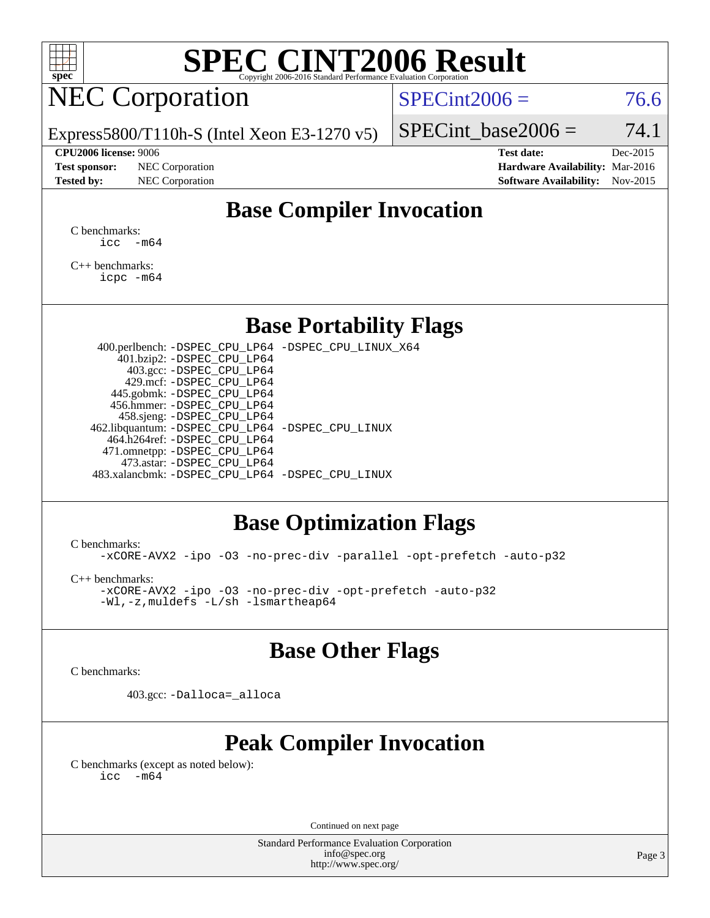

# **[SPEC CINT2006 Result](http://www.spec.org/auto/cpu2006/Docs/result-fields.html#SPECCINT2006Result)**

## NEC Corporation

 $SPECint2006 = 76.6$  $SPECint2006 = 76.6$ 

Express5800/T110h-S (Intel Xeon E3-1270 v5)

#### **[CPU2006 license:](http://www.spec.org/auto/cpu2006/Docs/result-fields.html#CPU2006license)** 9006 **[Test date:](http://www.spec.org/auto/cpu2006/Docs/result-fields.html#Testdate)** Dec-2015

**[Test sponsor:](http://www.spec.org/auto/cpu2006/Docs/result-fields.html#Testsponsor)** NEC Corporation **[Hardware Availability:](http://www.spec.org/auto/cpu2006/Docs/result-fields.html#HardwareAvailability)** Mar-2016

SPECint base2006 =  $74.1$ 

**[Tested by:](http://www.spec.org/auto/cpu2006/Docs/result-fields.html#Testedby)** NEC Corporation **[Software Availability:](http://www.spec.org/auto/cpu2006/Docs/result-fields.html#SoftwareAvailability)** Nov-2015

## **[Base Compiler Invocation](http://www.spec.org/auto/cpu2006/Docs/result-fields.html#BaseCompilerInvocation)**

[C benchmarks](http://www.spec.org/auto/cpu2006/Docs/result-fields.html#Cbenchmarks):  $\text{icc}$   $-\text{m64}$ 

[C++ benchmarks:](http://www.spec.org/auto/cpu2006/Docs/result-fields.html#CXXbenchmarks) [icpc -m64](http://www.spec.org/cpu2006/results/res2016q1/cpu2006-20160125-38921.flags.html#user_CXXbase_intel_icpc_64bit_fc66a5337ce925472a5c54ad6a0de310)

## **[Base Portability Flags](http://www.spec.org/auto/cpu2006/Docs/result-fields.html#BasePortabilityFlags)**

 400.perlbench: [-DSPEC\\_CPU\\_LP64](http://www.spec.org/cpu2006/results/res2016q1/cpu2006-20160125-38921.flags.html#b400.perlbench_basePORTABILITY_DSPEC_CPU_LP64) [-DSPEC\\_CPU\\_LINUX\\_X64](http://www.spec.org/cpu2006/results/res2016q1/cpu2006-20160125-38921.flags.html#b400.perlbench_baseCPORTABILITY_DSPEC_CPU_LINUX_X64) 401.bzip2: [-DSPEC\\_CPU\\_LP64](http://www.spec.org/cpu2006/results/res2016q1/cpu2006-20160125-38921.flags.html#suite_basePORTABILITY401_bzip2_DSPEC_CPU_LP64) 403.gcc: [-DSPEC\\_CPU\\_LP64](http://www.spec.org/cpu2006/results/res2016q1/cpu2006-20160125-38921.flags.html#suite_basePORTABILITY403_gcc_DSPEC_CPU_LP64) 429.mcf: [-DSPEC\\_CPU\\_LP64](http://www.spec.org/cpu2006/results/res2016q1/cpu2006-20160125-38921.flags.html#suite_basePORTABILITY429_mcf_DSPEC_CPU_LP64) 445.gobmk: [-DSPEC\\_CPU\\_LP64](http://www.spec.org/cpu2006/results/res2016q1/cpu2006-20160125-38921.flags.html#suite_basePORTABILITY445_gobmk_DSPEC_CPU_LP64) 456.hmmer: [-DSPEC\\_CPU\\_LP64](http://www.spec.org/cpu2006/results/res2016q1/cpu2006-20160125-38921.flags.html#suite_basePORTABILITY456_hmmer_DSPEC_CPU_LP64) 458.sjeng: [-DSPEC\\_CPU\\_LP64](http://www.spec.org/cpu2006/results/res2016q1/cpu2006-20160125-38921.flags.html#suite_basePORTABILITY458_sjeng_DSPEC_CPU_LP64) 462.libquantum: [-DSPEC\\_CPU\\_LP64](http://www.spec.org/cpu2006/results/res2016q1/cpu2006-20160125-38921.flags.html#suite_basePORTABILITY462_libquantum_DSPEC_CPU_LP64) [-DSPEC\\_CPU\\_LINUX](http://www.spec.org/cpu2006/results/res2016q1/cpu2006-20160125-38921.flags.html#b462.libquantum_baseCPORTABILITY_DSPEC_CPU_LINUX) 464.h264ref: [-DSPEC\\_CPU\\_LP64](http://www.spec.org/cpu2006/results/res2016q1/cpu2006-20160125-38921.flags.html#suite_basePORTABILITY464_h264ref_DSPEC_CPU_LP64) 471.omnetpp: [-DSPEC\\_CPU\\_LP64](http://www.spec.org/cpu2006/results/res2016q1/cpu2006-20160125-38921.flags.html#suite_basePORTABILITY471_omnetpp_DSPEC_CPU_LP64) 473.astar: [-DSPEC\\_CPU\\_LP64](http://www.spec.org/cpu2006/results/res2016q1/cpu2006-20160125-38921.flags.html#suite_basePORTABILITY473_astar_DSPEC_CPU_LP64) 483.xalancbmk: [-DSPEC\\_CPU\\_LP64](http://www.spec.org/cpu2006/results/res2016q1/cpu2006-20160125-38921.flags.html#suite_basePORTABILITY483_xalancbmk_DSPEC_CPU_LP64) [-DSPEC\\_CPU\\_LINUX](http://www.spec.org/cpu2006/results/res2016q1/cpu2006-20160125-38921.flags.html#b483.xalancbmk_baseCXXPORTABILITY_DSPEC_CPU_LINUX)

## **[Base Optimization Flags](http://www.spec.org/auto/cpu2006/Docs/result-fields.html#BaseOptimizationFlags)**

[C benchmarks](http://www.spec.org/auto/cpu2006/Docs/result-fields.html#Cbenchmarks):

[-xCORE-AVX2](http://www.spec.org/cpu2006/results/res2016q1/cpu2006-20160125-38921.flags.html#user_CCbase_f-xAVX2_5f5fc0cbe2c9f62c816d3e45806c70d7) [-ipo](http://www.spec.org/cpu2006/results/res2016q1/cpu2006-20160125-38921.flags.html#user_CCbase_f-ipo) [-O3](http://www.spec.org/cpu2006/results/res2016q1/cpu2006-20160125-38921.flags.html#user_CCbase_f-O3) [-no-prec-div](http://www.spec.org/cpu2006/results/res2016q1/cpu2006-20160125-38921.flags.html#user_CCbase_f-no-prec-div) [-parallel](http://www.spec.org/cpu2006/results/res2016q1/cpu2006-20160125-38921.flags.html#user_CCbase_f-parallel) [-opt-prefetch](http://www.spec.org/cpu2006/results/res2016q1/cpu2006-20160125-38921.flags.html#user_CCbase_f-opt-prefetch) [-auto-p32](http://www.spec.org/cpu2006/results/res2016q1/cpu2006-20160125-38921.flags.html#user_CCbase_f-auto-p32)

[C++ benchmarks:](http://www.spec.org/auto/cpu2006/Docs/result-fields.html#CXXbenchmarks)

[-xCORE-AVX2](http://www.spec.org/cpu2006/results/res2016q1/cpu2006-20160125-38921.flags.html#user_CXXbase_f-xAVX2_5f5fc0cbe2c9f62c816d3e45806c70d7) [-ipo](http://www.spec.org/cpu2006/results/res2016q1/cpu2006-20160125-38921.flags.html#user_CXXbase_f-ipo) [-O3](http://www.spec.org/cpu2006/results/res2016q1/cpu2006-20160125-38921.flags.html#user_CXXbase_f-O3) [-no-prec-div](http://www.spec.org/cpu2006/results/res2016q1/cpu2006-20160125-38921.flags.html#user_CXXbase_f-no-prec-div) [-opt-prefetch](http://www.spec.org/cpu2006/results/res2016q1/cpu2006-20160125-38921.flags.html#user_CXXbase_f-opt-prefetch) [-auto-p32](http://www.spec.org/cpu2006/results/res2016q1/cpu2006-20160125-38921.flags.html#user_CXXbase_f-auto-p32) [-Wl,-z,muldefs](http://www.spec.org/cpu2006/results/res2016q1/cpu2006-20160125-38921.flags.html#user_CXXbase_link_force_multiple1_74079c344b956b9658436fd1b6dd3a8a) [-L/sh -lsmartheap64](http://www.spec.org/cpu2006/results/res2016q1/cpu2006-20160125-38921.flags.html#user_CXXbase_SmartHeap64_ed4ef857ce90951921efb0d91eb88472)

## **[Base Other Flags](http://www.spec.org/auto/cpu2006/Docs/result-fields.html#BaseOtherFlags)**

[C benchmarks](http://www.spec.org/auto/cpu2006/Docs/result-fields.html#Cbenchmarks):

403.gcc: [-Dalloca=\\_alloca](http://www.spec.org/cpu2006/results/res2016q1/cpu2006-20160125-38921.flags.html#b403.gcc_baseEXTRA_CFLAGS_Dalloca_be3056838c12de2578596ca5467af7f3)

## **[Peak Compiler Invocation](http://www.spec.org/auto/cpu2006/Docs/result-fields.html#PeakCompilerInvocation)**

[C benchmarks \(except as noted below\)](http://www.spec.org/auto/cpu2006/Docs/result-fields.html#Cbenchmarksexceptasnotedbelow):  $\text{icc}$  -m64

Continued on next page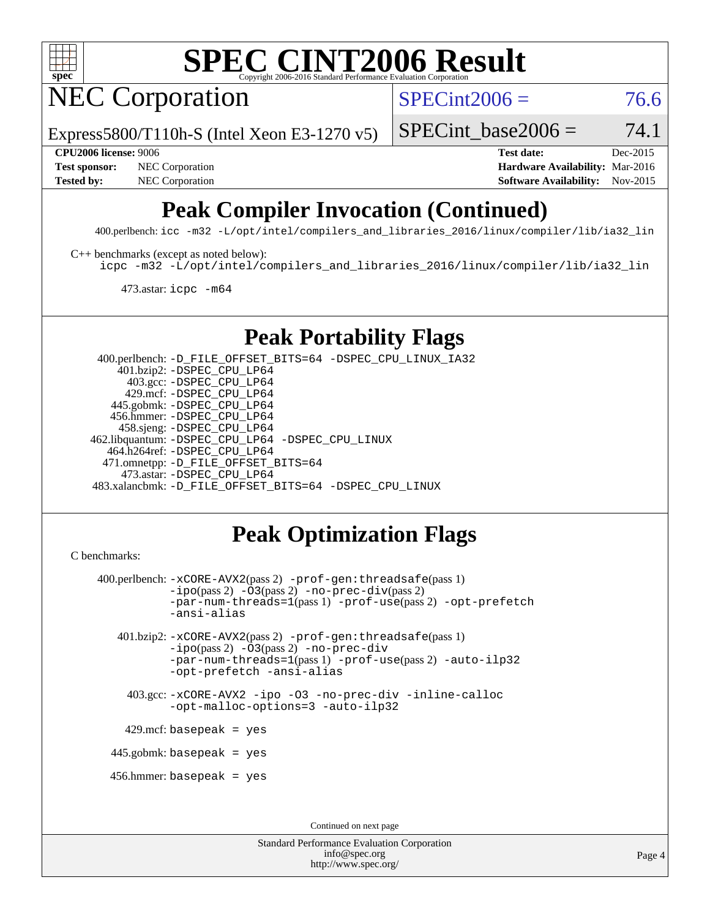

# **[SPEC CINT2006 Result](http://www.spec.org/auto/cpu2006/Docs/result-fields.html#SPECCINT2006Result)**

NEC Corporation

 $SPECint2006 = 76.6$  $SPECint2006 = 76.6$ 

Express5800/T110h-S (Intel Xeon E3-1270 v5)

SPECint base2006 =  $74.1$ 

**[Test sponsor:](http://www.spec.org/auto/cpu2006/Docs/result-fields.html#Testsponsor)** NEC Corporation **NEC Corporation [Hardware Availability:](http://www.spec.org/auto/cpu2006/Docs/result-fields.html#HardwareAvailability)** Mar-2016

**[CPU2006 license:](http://www.spec.org/auto/cpu2006/Docs/result-fields.html#CPU2006license)** 9006 **[Test date:](http://www.spec.org/auto/cpu2006/Docs/result-fields.html#Testdate)** Dec-2015 **[Tested by:](http://www.spec.org/auto/cpu2006/Docs/result-fields.html#Testedby)** NEC Corporation **[Software Availability:](http://www.spec.org/auto/cpu2006/Docs/result-fields.html#SoftwareAvailability)** Nov-2015

## **[Peak Compiler Invocation \(Continued\)](http://www.spec.org/auto/cpu2006/Docs/result-fields.html#PeakCompilerInvocation)**

400.perlbench: [icc -m32 -L/opt/intel/compilers\\_and\\_libraries\\_2016/linux/compiler/lib/ia32\\_lin](http://www.spec.org/cpu2006/results/res2016q1/cpu2006-20160125-38921.flags.html#user_peakCCLD400_perlbench_intel_icc_e10256ba5924b668798078a321b0cb3f)

[C++ benchmarks \(except as noted below\):](http://www.spec.org/auto/cpu2006/Docs/result-fields.html#CXXbenchmarksexceptasnotedbelow)

[icpc -m32 -L/opt/intel/compilers\\_and\\_libraries\\_2016/linux/compiler/lib/ia32\\_lin](http://www.spec.org/cpu2006/results/res2016q1/cpu2006-20160125-38921.flags.html#user_CXXpeak_intel_icpc_b4f50a394bdb4597aa5879c16bc3f5c5)

473.astar: [icpc -m64](http://www.spec.org/cpu2006/results/res2016q1/cpu2006-20160125-38921.flags.html#user_peakCXXLD473_astar_intel_icpc_64bit_fc66a5337ce925472a5c54ad6a0de310)

## **[Peak Portability Flags](http://www.spec.org/auto/cpu2006/Docs/result-fields.html#PeakPortabilityFlags)**

 400.perlbench: [-D\\_FILE\\_OFFSET\\_BITS=64](http://www.spec.org/cpu2006/results/res2016q1/cpu2006-20160125-38921.flags.html#user_peakPORTABILITY400_perlbench_file_offset_bits_64_438cf9856305ebd76870a2c6dc2689ab) [-DSPEC\\_CPU\\_LINUX\\_IA32](http://www.spec.org/cpu2006/results/res2016q1/cpu2006-20160125-38921.flags.html#b400.perlbench_peakCPORTABILITY_DSPEC_CPU_LINUX_IA32) 401.bzip2: [-DSPEC\\_CPU\\_LP64](http://www.spec.org/cpu2006/results/res2016q1/cpu2006-20160125-38921.flags.html#suite_peakPORTABILITY401_bzip2_DSPEC_CPU_LP64) 403.gcc: [-DSPEC\\_CPU\\_LP64](http://www.spec.org/cpu2006/results/res2016q1/cpu2006-20160125-38921.flags.html#suite_peakPORTABILITY403_gcc_DSPEC_CPU_LP64) 429.mcf: [-DSPEC\\_CPU\\_LP64](http://www.spec.org/cpu2006/results/res2016q1/cpu2006-20160125-38921.flags.html#suite_peakPORTABILITY429_mcf_DSPEC_CPU_LP64) 445.gobmk: [-DSPEC\\_CPU\\_LP64](http://www.spec.org/cpu2006/results/res2016q1/cpu2006-20160125-38921.flags.html#suite_peakPORTABILITY445_gobmk_DSPEC_CPU_LP64) 456.hmmer: [-DSPEC\\_CPU\\_LP64](http://www.spec.org/cpu2006/results/res2016q1/cpu2006-20160125-38921.flags.html#suite_peakPORTABILITY456_hmmer_DSPEC_CPU_LP64) 458.sjeng: [-DSPEC\\_CPU\\_LP64](http://www.spec.org/cpu2006/results/res2016q1/cpu2006-20160125-38921.flags.html#suite_peakPORTABILITY458_sjeng_DSPEC_CPU_LP64) 462.libquantum: [-DSPEC\\_CPU\\_LP64](http://www.spec.org/cpu2006/results/res2016q1/cpu2006-20160125-38921.flags.html#suite_peakPORTABILITY462_libquantum_DSPEC_CPU_LP64) [-DSPEC\\_CPU\\_LINUX](http://www.spec.org/cpu2006/results/res2016q1/cpu2006-20160125-38921.flags.html#b462.libquantum_peakCPORTABILITY_DSPEC_CPU_LINUX) 464.h264ref: [-DSPEC\\_CPU\\_LP64](http://www.spec.org/cpu2006/results/res2016q1/cpu2006-20160125-38921.flags.html#suite_peakPORTABILITY464_h264ref_DSPEC_CPU_LP64) 471.omnetpp: [-D\\_FILE\\_OFFSET\\_BITS=64](http://www.spec.org/cpu2006/results/res2016q1/cpu2006-20160125-38921.flags.html#user_peakPORTABILITY471_omnetpp_file_offset_bits_64_438cf9856305ebd76870a2c6dc2689ab) 473.astar: [-DSPEC\\_CPU\\_LP64](http://www.spec.org/cpu2006/results/res2016q1/cpu2006-20160125-38921.flags.html#suite_peakPORTABILITY473_astar_DSPEC_CPU_LP64) 483.xalancbmk: [-D\\_FILE\\_OFFSET\\_BITS=64](http://www.spec.org/cpu2006/results/res2016q1/cpu2006-20160125-38921.flags.html#user_peakPORTABILITY483_xalancbmk_file_offset_bits_64_438cf9856305ebd76870a2c6dc2689ab) [-DSPEC\\_CPU\\_LINUX](http://www.spec.org/cpu2006/results/res2016q1/cpu2006-20160125-38921.flags.html#b483.xalancbmk_peakCXXPORTABILITY_DSPEC_CPU_LINUX)

## **[Peak Optimization Flags](http://www.spec.org/auto/cpu2006/Docs/result-fields.html#PeakOptimizationFlags)**

```
C benchmarks:
```

```
 400.perlbench: -xCORE-AVX2(pass 2) -prof-gen:threadsafe(pass 1)
         -i\text{po}(pass 2) -\overline{0}3(pass 2)-no-prec-div(pass 2)
         -par-num-threads=1(pass 1) -prof-use(pass 2) -opt-prefetch
         -ansi-alias
 401.bzip2: -xCORE-AVX2(pass 2) -prof-gen:threadsafe(pass 1)
         -ipo(pass 2) -O3(pass 2) -no-prec-div
         -par-num-threads=1(pass 1) -prof-use(pass 2) -auto-ilp32
         -opt-prefetch -ansi-alias
   403.gcc: -xCORE-AVX2 -ipo -O3 -no-prec-div -inline-calloc
         -opt-malloc-options=3 -auto-ilp32
 429.mcf: basepeak = yes
445.gobmk: basepeak = yes
456.hmmer: basepeak = yes
                                 Continued on next page
```